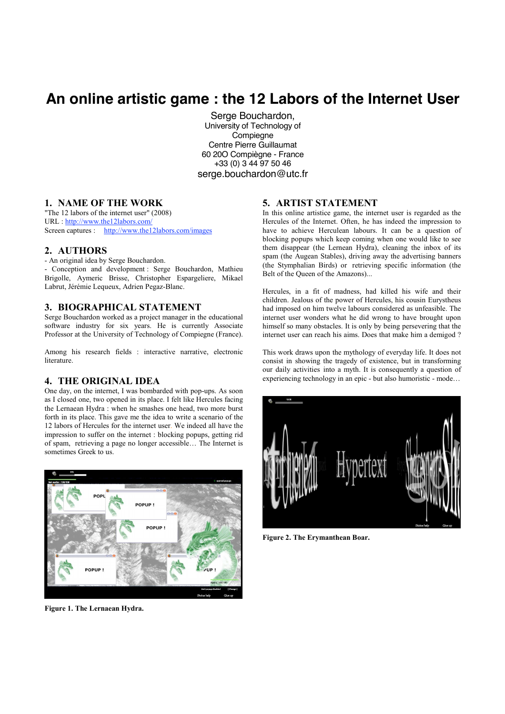# **An online artistic game : the 12 Labors of the Internet User**

Serge Bouchardon, University of Technology of Compiegne Centre Pierre Guillaumat 60 20O Compiègne - France +33 (0) 3 44 97 50 46 serge.bouchardon@utc.fr

# **1. NAME OF THE WORK**

"The  $12$  labors of the internet user"  $(2008)$ URL: http://www.the12labors.com/ Screen captures : http://www.the12labors.com/images

#### 2. AUTHORS

- An original idea by Serge Bouchardon. - Conception and development: Serge Bouchardon, Mathieu Brigolle, Aymeric Brisse, Christopher Espargeliere, Mikael Labrut, Jérémie Lequeux, Adrien Pegaz-Blanc.

#### 3. BIOGRAPHICAL STATEMENT

Serge Bouchardon worked as a project manager in the educational software industry for six years. He is currently Associate Professor at the University of Technology of Compiegne (France).

Among his research fields : interactive narrative, electronic literature

## **4. THE ORIGINAL IDEA**

One day, on the internet, I was bombarded with pop-ups. As soon as I closed one, two opened in its place. I felt like Hercules facing the Lernaean Hydra : when he smashes one head, two more burst forth in its place. This gave me the idea to write a scenario of the 12 labors of Hercules for the internet user. We indeed all have the impression to suffer on the internet : blocking popups, getting rid of spam, retrieving a page no longer accessible... The Internet is sometimes Greek to us.



Figure 1. The Lernaean Hydra.

#### 5. ARTIST STATEMENT

In this online artistice game, the internet user is regarded as the Hercules of the Internet. Often, he has indeed the impression to have to achieve Herculean labours. It can be a question of blocking popups which keep coming when one would like to see them disappear (the Lernean Hydra), cleaning the inbox of its spam (the Augean Stables), driving away the advertising banners (the Stymphalian Birds) or retrieving specific information (the Belt of the Queen of the Amazons)...

Hercules, in a fit of madness, had killed his wife and their children. Jealous of the power of Hercules, his cousin Eurystheus had imposed on him twelve labours considered as unfeasible. The internet user wonders what he did wrong to have brought upon himself so many obstacles. It is only by being persevering that the internet user can reach his aims. Does that make him a demigod ?

This work draws upon the mythology of everyday life. It does not consist in showing the tragedy of existence, but in transforming our daily activities into a myth. It is consequently a question of experiencing technology in an epic - but also humoristic - mode...



Figure 2. The Erymanthean Boar.